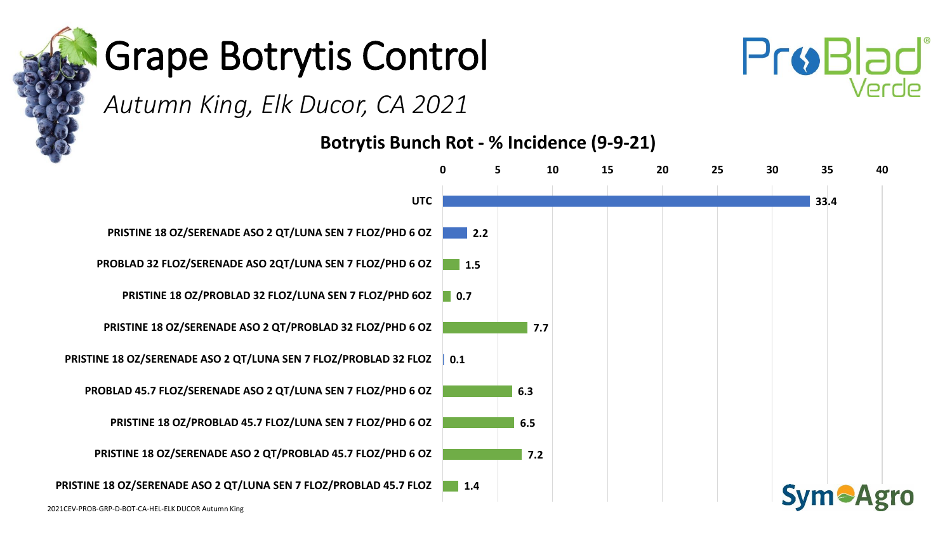



#### *Autumn King, Elk Ducor, CA 2021*

**Botrytis Bunch Rot - % Incidence (9-9-21)**

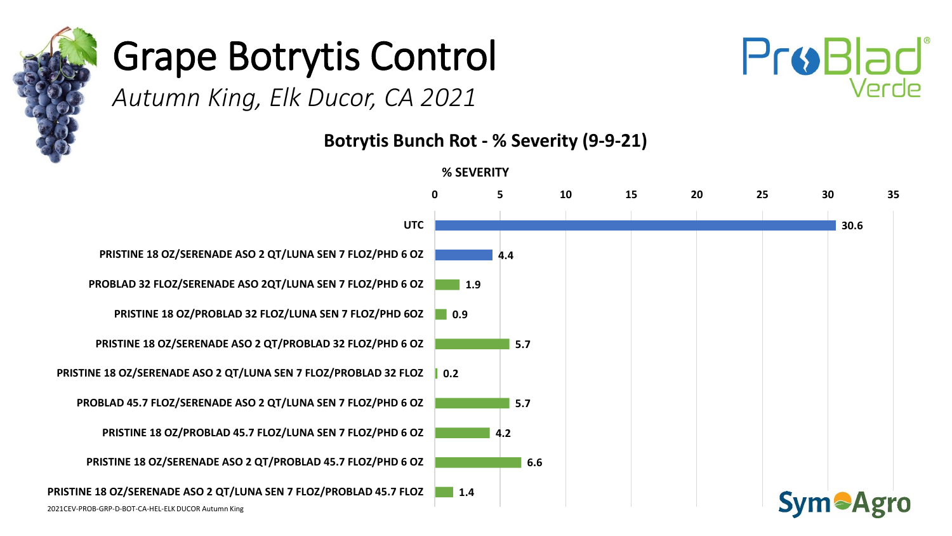



*Autumn King, Elk Ducor, CA 2021* 

**Botrytis Bunch Rot - % Severity (9-9-21)**

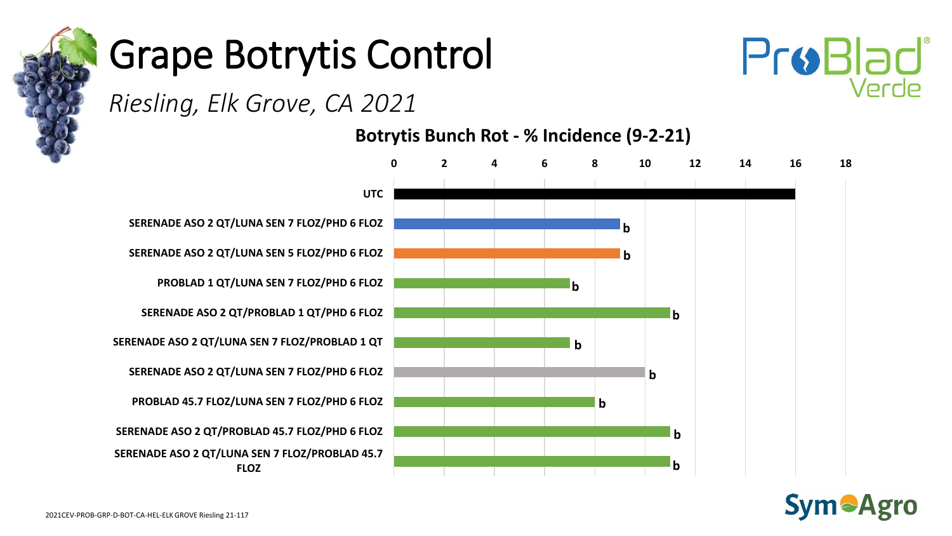



*Riesling, Elk Grove, CA 2021* 

**Botrytis Bunch Rot - % Incidence (9-2-21)**